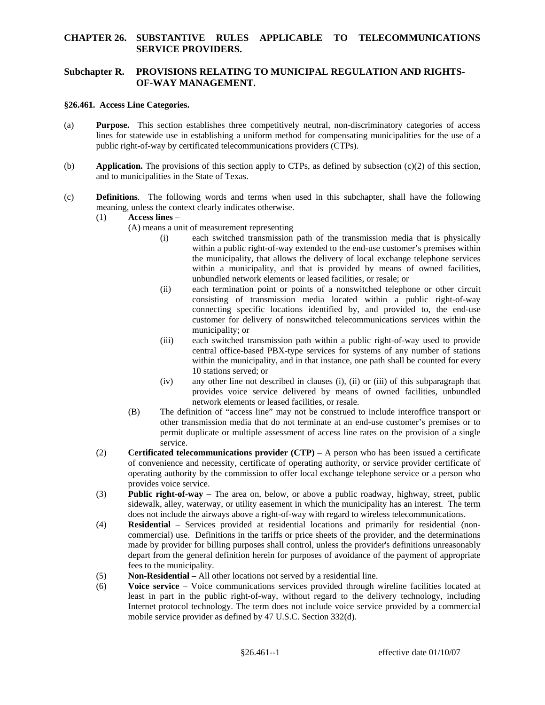### **CHAPTER 26. SUBSTANTIVE RULES APPLICABLE TO TELECOMMUNICATIONS SERVICE PROVIDERS.**

## **Subchapter R. PROVISIONS RELATING TO MUNICIPAL REGULATION AND RIGHTS-OF-WAY MANAGEMENT.**

#### **§26.461. Access Line Categories.**

- (a) **Purpose.** This section establishes three competitively neutral, non-discriminatory categories of access lines for statewide use in establishing a uniform method for compensating municipalities for the use of a public right-of-way by certificated telecommunications providers (CTPs).
- (b) **Application.** The provisions of this section apply to CTPs, as defined by subsection (c)(2) of this section, and to municipalities in the State of Texas.
- (c) **Definitions**. The following words and terms when used in this subchapter, shall have the following meaning, unless the context clearly indicates otherwise.
	- (1) **Access lines**
		- (A) means a unit of measurement representing
			- (i) each switched transmission path of the transmission media that is physically within a public right-of-way extended to the end-use customer's premises within the municipality, that allows the delivery of local exchange telephone services within a municipality, and that is provided by means of owned facilities, unbundled network elements or leased facilities, or resale; or
			- (ii) each termination point or points of a nonswitched telephone or other circuit consisting of transmission media located within a public right-of-way connecting specific locations identified by, and provided to, the end-use customer for delivery of nonswitched telecommunications services within the municipality; or
			- 10 stations served; or (iii) each switched transmission path within a public right-of-way used to provide central office-based PBX-type services for systems of any number of stations within the municipality, and in that instance, one path shall be counted for every
			- $(iv)$ any other line not described in clauses  $(i)$ ,  $(ii)$  or  $(iii)$  of this subparagraph that provides voice service delivered by means of owned facilities, unbundled network elements or leased facilities, or resale.
			- (B) The definition of "access line" may not be construed to include interoffice transport or other transmission media that do not terminate at an end-use customer's premises or to permit duplicate or multiple assessment of access line rates on the provision of a single service.
	- operating authority by the commission to offer local exchange telephone service or a person who (2) **Certificated telecommunications provider (CTP)** – A person who has been issued a certificate of convenience and necessity, certificate of operating authority, or service provider certificate of provides voice service.
	- does not include the airways above a right-of-way with regard to wireless telecommunications. (3) **Public right-of-way** – The area on, below, or above a public roadway, highway, street, public sidewalk, alley, waterway, or utility easement in which the municipality has an interest. The term
	- made by provider for billing purposes shall control, unless the provider's definitions unreasonably (4) **Residential** – Services provided at residential locations and primarily for residential (noncommercial) use. Definitions in the tariffs or price sheets of the provider, and the determinations depart from the general definition herein for purposes of avoidance of the payment of appropriate fees to the municipality.
	- (5) **Non-Residential** All other locations not served by a residential line.
	- mobile service provider as defined by 47 U.S.C. Section 332(d). (6) **Voice service** – Voice communications services provided through wireline facilities located at least in part in the public right-of-way, without regard to the delivery technology, including Internet protocol technology. The term does not include voice service provided by a commercial